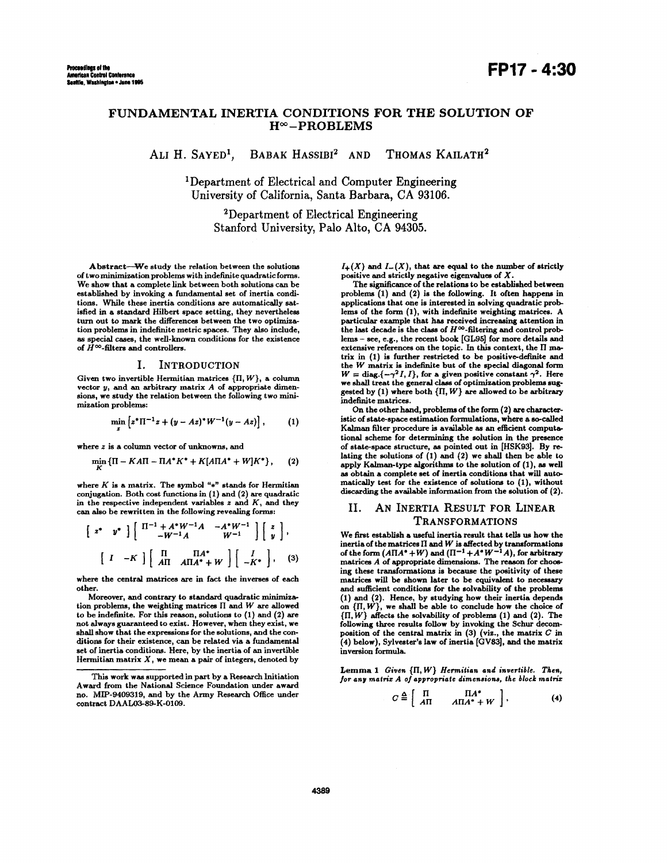# FUNDAMENTAL INERTIA CONDITIONS FOR THE SOLUTION OF  $H^{\infty}$ -PROBLEMS

ALI H. SAYED<sup>1</sup>, BABAK HASSIBI<sup>2</sup> AND THOMAS KAILATH<sup>2</sup>

lDepartment of Electrical and Computer Engineering University of California, Santa Barbara, CA 93106.

> 2Department of Electrical Engineering Stanford University, Palo Alto, CA **94305.**

Abstract-We study the relation between the solutions of two minimization problems with indefinite quadratic forms. We show that a complete link between both solutions can be established by invoking a fundamental set of inertia conditions. While these inertia conditions are automatically satisfied in a standard Hilbert space setting, they nevertheless turn out to mark the differences between the two optimizatiom problems in indefinite metric spaces. They **also** include, **as** special cases, the well-known conditions for the existence of  $\tilde{H}^{\infty}$ -filters and controllers.

#### I. INTRODUCTION

Given two invertible Hermitian matrices  $\{\Pi, W\}$ , a column vector *y*, and an arbitrary matrix *A* of appropriate dimensions, we study the relation between the following two **mini**mization problems:

$$
\min_{z} \left[ z^* \Pi^{-1} z + (y - Az)^* W^{-1} (y - Az) \right], \qquad (1)
$$

where *z* is a column vector of unknowns, and

$$
\min_{\mathbf{K}} \{ \Pi - K \Lambda \Pi - \Pi \Lambda^* K^* + K [\Lambda \Pi \Lambda^* + W] K^* \}, \qquad (2)
$$

where  $K$  is a matrix. The symbol " $*$ " stands for Hermitian conjugation. Both cost functions in [ 1) and **(2)** are quadratic in the respective independent variables *z* and *K,* and they can **also** be rewritten in the following revealing forms:

$$
\begin{bmatrix} z^* & y^* \end{bmatrix} \begin{bmatrix} \Pi^{-1} + A^* W^{-1} A & -A^* W^{-1} \\ -W^{-1} A & W^{-1} \end{bmatrix} \begin{bmatrix} z \\ y \end{bmatrix},
$$
\n
$$
\begin{bmatrix} I & -K \end{bmatrix} \begin{bmatrix} \Pi & \Pi A^* \\ A\Pi & A\Pi A^* + W \end{bmatrix} \begin{bmatrix} I \\ -K^* \end{bmatrix}, \quad (3)
$$

where the central matrices **are** in fact the inverses of each other.

Moreover, and contrary to standard quadratic **minimizs**tion problems, the weighting matrices  $\Pi$  and  $W$  are allowed to be indefinite. **For** this reason, solutions to **(1)** and **(2)** are shall show that the expressions for the solutions, and the conditions for their existence, can be related via a fundamental set **of** inertia conditions. Here, by the inertia **of** an invertible Hermitian matrix  $X$ , we mean a pair of integers, denoted by

 $I_{+}(X)$  and  $I_{-}(X)$ , that are equal to the number of strictly positive and strictly negative eigenvaluea of *X.* 

The significance of the relations to be established between problems **(1)** and **(2)** is the following. It often happens in applications that one is interested in solving quadratic problems of the form (l), with indefinite weighting matrices. A particular example that has received **increasing** attention in the last decade is the class of  $H^{\infty}$ -filtering and control problems - see, e.g., the recent book *[GL95]* for more details and extensive references on the topic. In this context, the II matrix in (1) is further restricted to be positive-definite and the *W* matrix is indefinite but of the special diagonal form  $W = \text{diag}\{-\gamma^2 I, I\}$ , for a given positive constant  $\gamma^2$ . Here we shall treat the general *class* of optimization problems suggested by **(1)** where both **{ll,** W} **are** allowed to be arbitrary indefinite matrices.

On the other hand, problems of the form **(2) are** characteristic of state-space estimation formulations, where **a** so-called Kalman filter procedure is available as an efficient computational scheme for determining the solution in the presence of state-space structure, **as** pointed out in [HSK93]. By relating the solutions **of (1)** and **(2)** we shall then be able **to**  apply Kalman-type algorithms to the solution of (1), **as** well as obtain a complete set of inertia conditions that will automatically test for the existence of solutions to (1), without discarding the available information from the solution **of (2).** 

### 11. **AN** INERTIA RESULT FOR LINEAR TRANSFORMATIONS

We first establish a useful inertia result that tells us how the inertia of the matrices **II** and W is affected by transformations of the form  $(A\Pi A^* + W)$  and  $(\Pi^{-1} + A^*W^{-1}A)$ , for arbitrary matrices *A* of appropriate dimensions. The reason for choosing these transformations is because the positivity of these matrices will be shown later to be equivalent to necessary and sufficient conditions for the solvability of the problems (1) and (2). Hence, by studying how their inertia depends on  $\{II, W\}$ , we shall be able to conclude how the choice of **{ll,W}** affects the solvability of problems (1) and **(2).** The following three results follow **by** invoking the Schur decomposition of the central matrix in **(3)** (viz., the matrix *C* in **(4)** below), Sylvester's law of inertia *[GV83],* and the matrix inversion formula.

 $Lemma 1$  *Given*  $\{\Pi, W\}$  *Hermitian and invertible. Then, for any matrix A of appropriate dimensions, the block matrix* 

$$
C \stackrel{\Delta}{=} \left[ \begin{array}{cc} \Pi & \Pi A^* \\ A\Pi & A\Pi A^+ + W \end{array} \right], \tag{4}
$$

**This** work **was** supported in part by a Research Initiation Award from the National Science Foundation under award no. **MP-9409319,** and by the Army Research Office under contract DAAL03-89-K-0109.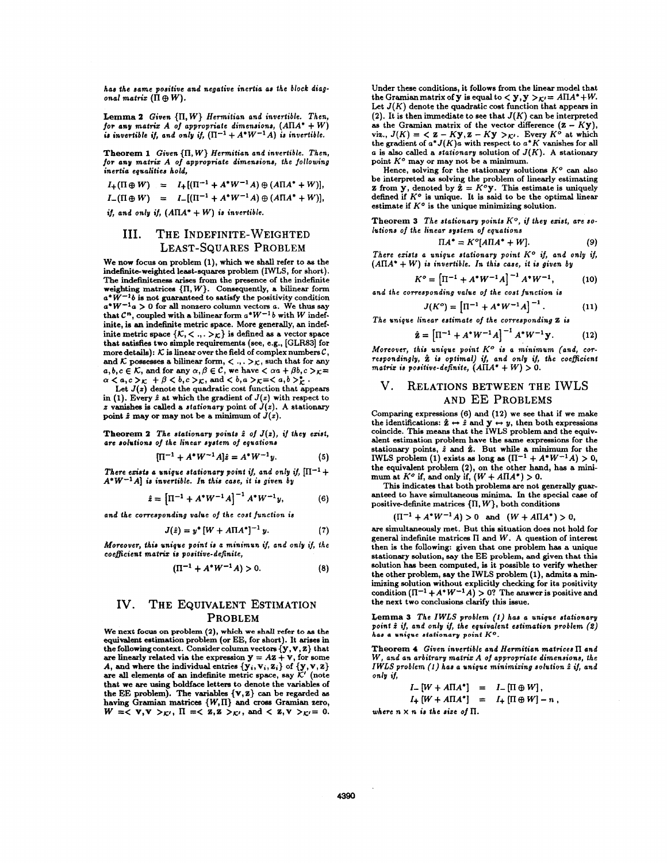*has the same positive and negative inertia as the block diag* $onal matrix$   $(\Pi \oplus W)$ .

**Lemma 2** *Given* **{ll,** *W} Hermitian and invertible. Then, for any matrix A of appropriate dimensions, (AllAI* + *W)*  is invertible if, and only if,  $(\Pi^{-1} + A^*W^{-1}A)$  is invertible.

**Theorem 1** *Given*  $\{\Pi, W\}$  *Hermitian and invertible. Then, for any matrix A of appropriate dimensions, the following inertia equalities hold,* 

$$
I_{+}(\Pi \oplus W) = I_{+}[(\Pi^{-1} + A^{*}W^{-1}A) \oplus (A\Pi A^{*} + W)],
$$
  

$$
I_{-}(\Pi \oplus W) = I_{-}[(\Pi^{-1} + A^{*}W^{-1}A) \oplus (A\Pi A^{*} + W)],
$$

*if, and only if,*  $(A\Pi A^* + W)$  *is invertible.* 

## **III.** THE INDEFINITE-WEIGHTED LEAST-SQUARES PROBLEM

We now focus on problem **(l),** which we shall refer to **as** the indefinite-weighted least-squares problem (IWLS, for short). The indefiniteness **arises** from the presence of the indefinite weighting matrices  $\{\Pi, W\}$ . Consequently, a bilinear form *a\* W-'b* is not guaranteed to satisfy the positivity condition  $a^*W^{-1}a > 0$  for all nonzero column vectors *a*. We thus say that  $C^n$ , coupled with a bilinear form  $a^*W^{-1}b$  with *W* indefinite, is **an** indefinite metric space. More generally, an indefinite metric space  $\{K, \langle , , . \rangle_K\}$  is defined as a vector space that satisfies two simple requirements **(see,** e.g., **[GLFS3]** for and  $K$  possesses a bilinear form,  $\langle \cdot, \cdot \rangle_K$ , such that for any  $a, b, c \in \mathcal{K}$ , and for any  $\alpha, \beta \in \mathcal{C}$ , we have  $\langle \alpha a + \beta b, c \rangle_{\mathcal{K}} =$  $\alpha < a, c > \kappa + \beta < b, c > \kappa$ , and  $< b, a > \kappa = < a, b > \kappa$ .<br>Let *J(z)* denote the quadratic cost function that appears

in (1). Every  $\hat{z}$  at which the gradient of  $J(z)$  with respect to  $z$  vanishes is called a *stationary* point of  $J(z)$ . A stationary point  $\hat{z}$  may or may not be a minimum of  $\hat{J}(z)$ .

**Theorem 2** The stationary points  $\hat{z}$  of  $J(z)$ , if they exist, *are solutions of the linear system of equations* 

$$
[\Pi^{-1} + A^* W^{-1} A]\hat{z} = A^* W^{-1} y.
$$
 (5)

*There exists a unique stationary point if, and only if,*  $[\Pi^{-1} +$  $A^*W^{-1}A$  *is invertible. In this case, it is given by* 

$$
\hat{z} = \left[\Pi^{-1} + A^* W^{-1} A\right]^{-1} A^* W^{-1} y,\tag{6}
$$

*and the corresponding value of the cost function is* 

$$
J(\hat{z}) = y^* \left[ W + A \Pi A^* \right]^{-1} y. \tag{7}
$$

*Moreover, this unique point is a minimun if, and ont9* **g,** *the coeficient mat& is positive-definite,* 

$$
(\Pi^{-1} + A^*W^{-1}A) > 0. \tag{8}
$$

## IV. THE EQUIVALENT ESTIMATION PROBLEM

We next **focus on problem (2), which we shall refer to as** the equivalent estimation problem (or EE, for short). It **arises** in the following context. Consider column vectors  ${y, v, z}$  that are linearly related via the expression  $y = Az + v$ , for some *A*, and where the individual entries  ${y_i, v_i, z_i}$  of  ${y, v, z}$ *are* **all** elements of an indefinite metric space, say *K'* (note that we **are** using boldface letters to denote the variables **of**  the EE problem). The variables  $\{v, z\}$  can be regarded as having Gramian matrices  $\{W,\Pi\}$  and *cross Gramian zero*, *W* =  $\langle$  *v*, **v** >  $\kappa'$ , **II** =  $\langle$  **z**, **z** >  $\kappa'$ , and  $\langle$  **z**, **v** >  $\kappa'$  = 0.

Under these conditions, it follows from the linear model that the Gramian matrix of **y** is equal to  $\langle y, y \rangle_{K'} = A \Pi A^* + W$ . Let  $J(K)$  denote the quadratic cost function that appears in (2). It is then immediate to see that  $J(K)$  can be interpreted **as** the Gramian matrix of the vector difference *(2* - Ky), as the Gramian matrix of the vector difference  $(Z - Ky)$ , viz.,  $J(K) = \langle Z - Ky \rangle, Z - Ky \rangle,$  Every  $K^{\circ}$  at which the gradient of  $a^* J(K)a$  with respect to  $a^* K$  vanishes for all *a* is **also** called a *stationary* solution of *J(K).* A stationary point  $K^o$  may or may not be a minimum.

Hence, solving for the stationary solutions  $K^o$  can also be interpreted **as** solving the problem of linearly estimating **z** from **y**, denoted by  $\hat{\mathbf{z}} = K^o \mathbf{y}$ . This estimate is uniquely defined if  $K^o$  is unique. It is said to be the optimal linear estimate if  $K^o$  is the unique minimizing solution.

Theorem 3 The stationary points  $K^o$ , if they exist, are so*lutions of the linear system of equations* 

$$
\Pi A^* = K^o[A\Pi A^* + W]. \tag{9}
$$

*There en'sts a unique sfafionary point KO if, and only if, (AIIA\** + *W*) is invertible. In this case, it is given by  $K^{o} = [\Pi^{-1} + A^{*}W^{-1}A]^{-1}A^{*}W^{-1},$ 

$$
K^{\circ} = \left[\Pi^{-1} + A^* W^{-1} A\right]^{-1} A^* W^{-1}, \tag{10}
$$

and the corresponding value of the cost function is  
\n
$$
J(K^o) = \left[\Pi^{-1} + A^*W^{-1}A\right]^{-1}.
$$
\n(11)

The unique linear estimate of the corresponding 2 is  
\n
$$
\hat{\mathbf{z}} = \left[\Pi^{-1} + A^*W^{-1}A\right]^{-1}A^*W^{-1}\mathbf{y}.
$$
\n(12)

*Moreover, this unique point K<sup>o</sup> is a minimum (and, correspondingly, is opiimal) if, and only if, the coeficient matrix is positive-definite,*  $(AIIA^* + W) > 0$ .

## v. RELATIONS BETWEEN THE IwLs AND EE PROBLEMS

Comparing expressions (6) and **(12)** we see that if we make Comparing expressions (6) and (12) we see that if we make<br>the identifications:  $\hat{z} \leftrightarrow \hat{z}$  and  $y \leftrightarrow y$ , then both expressions<br>coincide. This means that the IWLS problem and the equivalent estimation problem have the same expressions for the stationary points, *i* and **2.** But while a minimum for the **IWLS** problem (1) exists as long as  $(\Pi^{-1} + A^*W^{-1}A) > 0$ , the equivalent problem (2), on the other hand, has a mini-<br>mum at  $K^o$  if, and only if,  $(W + A\Pi A^*) > 0$ .

**This** indicates that both problems *are* not generally guaranteed to have simultaneous minima. In the special case of positive-definite matrices  $\{\Pi, W\}$ , both conditions

 $(\Pi^{-1} + A^*W^{-1}A) > 0$  and  $(W + A\Pi A^*) > 0$ ,

*are* simultaneously met. But this situation does not hold for general indefinite matrices **ll** and *W.* A question of interest then is the following: given that one problem **has** a unique stationary solution, **say** the EE problem, and given that this solution has been computed, is it possible to verify whether the other problem, say the IWES problem **(l),** admits a minimizing solution without explicitly checking for its positivity condition  $(\Pi^{-1} + A^* W^{-1} A) > 0$ ? The answer is positive and the next two conclusions clarify this issue.

**Lemma 3** *The IWLS problem (1) has a unique stationary point i if, and only if, the equivalent estimation problem* **(2)**  *ha8* **a** *unique stationarp point KO.* 

Theorem **4** *Given invertible and Hermiiian matrices* **ll** *and W, and an arbitrary matrix A of appropriate dimensions, the IWLS problem (1) has a unique minimizing soluiion i if, and only if,* 

$$
I_{-}[W + A\Pi A^*] = I_{-}[\Pi \oplus W],
$$
  

$$
I_{+}[W + A\Pi A^*] = I_{+}[\Pi \oplus W] - n,
$$

*where*  $n \times n$  *is the size of*  $\Pi$ .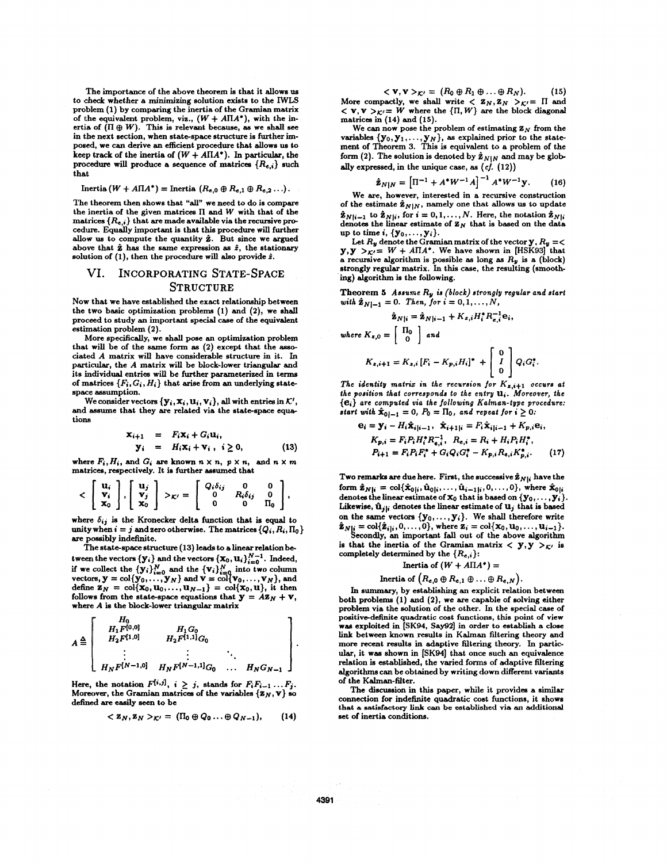The importance of the above theorem is that it allows **us** to check whether a **minimizing** solution exists to the IWLS problem **(1)** by comparing the inertia of the Gramian matrix of the equivalent problem, viz.,  $(W + A\Pi A^*)$ , with the inertia of  $(\Pi \oplus W)$ . This is relevant because, as we shall see in the next section, when state-space structure is further imposed, we can derive an efficient procedure that allows **us** to keep track of the inertia of  $(W + A\Pi A^*)$ . In particular, the procedve will produce a sequence of matrices *(Re,,}* **such**  that

#### Inertia  $(W + A\Pi A^*)$  = Inertia  $(R_{e,0} \oplus R_{e,1} \oplus R_{e,2} \ldots).$

The theorem then shows that "all" we need to do is compare the inertia of the given matrices  $\Pi$  and  $W$  with that of the matrices  $\{R_{e,i}\}\)$  that are made available via the recursive procedure. Equally important is that this procedure will further **allow us** to compute the quantity **2.** But since we argued above that  $\hat{z}$  has the same expression as  $\hat{z}$ , the stationary solution of **(l),** then the procedure will **also** provide *i.* 

# VI. INCORPORATING STATE-SPACE **STRUCTURE**

**Now** that we have established the exact relationship between the two basic optimization problem **(1)** and **(21,** we shall proceed to study an important special case of the equivalent estimation problem **(2).** 

More specifically, we shall pose an optimization problem that will be **of** the same form **as (2)** except that the *8880*  ciated A matrix will have considerable structure in it. In particular, the *A* matrix will be block-lower triangular and its individual entries will be further parameterized in terms of matrices  $\{F_i, G_i, H_i\}$  that arise from an underlying statespace assumption.

We consider vectors  $\{y_i, x_i, u_i, v_i\}$ , all with entries in  $K'$ , and assume that they are related via the state-space equatiom

$$
\mathbf{x}_{i+1} = F_i \mathbf{x}_i + G_i \mathbf{u}_i, \n\mathbf{y}_i = H_i \mathbf{x}_i + \mathbf{v}_i, i \ge 0,
$$
\n(13)

where  $F_i$ ,  $H_i$ , and  $G_i$  are known  $n \times n$ ,  $p \times n$ , and  $n \times m$ matrices, respectively. It is further **assumed** that

$$
\langle \begin{bmatrix} \mathbf{u}_i \\ \mathbf{v}_i \\ \mathbf{x}_0 \end{bmatrix}, \begin{bmatrix} \mathbf{u}_j \\ \mathbf{v}_j \\ \mathbf{x}_0 \end{bmatrix} \rangle_{\mathcal{K}'} = \begin{bmatrix} Q_i \delta_{ij} & 0 & 0 \\ 0 & R_i \delta_{ij} & 0 \\ 0 & 0 & \Pi_0 \end{bmatrix},
$$

where  $\delta_{ij}$  is the Kronecker delta function that is equal to unity when  $i = j$  and zero otherwise. The matrices  $\{Q_i, R_i, \Pi_0\}$ *are* possibly indefinite.

The state-space structure **(13)** leads to a linear relation between the vectors  $\{y_i\}$  and the vectors  $\{x_0, u_i\}_{i=0}^{N-1}$ . Indeed, if we collect the  $\{y_i\}_{i=0}^N$  and the  $\{v_i\}_{i=0}^N$  into two column<br>vectors,  $y = col\{y_0, ..., y_N\}$  and  $v = col\{v_0, ..., v_N\}$ , and<br>define  $z_N = col\{x_0, u_0, ..., u_{N-1}\} = col\{x_0, u\}$ , it then<br>follows from the state-space equations that where A is the block-lower triangular matrix

$$
A \triangleq \begin{bmatrix} H_0 & H_1G_0 \\ H_1F^{[0,0]} & H_2F^{[1,1]}G_0 \\ \vdots & \vdots & \ddots \\ H_NF^{[N-1,0]} & H_NF^{[N-1,1]}G_0 & \cdots & H_NG_{N-1} \end{bmatrix}.
$$

Here, the notation  $F^{[i,j]}$ ,  $i \geq j$ , stands for  $F_i F_{i-1} \ldots F_j$ . Moreover, the Gramian matrices of the variables  $\{z_N, v\}$  so defined **are** easily seen to be

$$
\langle Z_N, Z_N \rangle_{K'} = (\Pi_0 \oplus Q_0 \dots \oplus Q_{N-1}), \qquad (14)
$$

 $\langle \mathbf{v}, \mathbf{v} \rangle_{K} = (R_0 \oplus R_1 \oplus \ldots \oplus R_N).$  (15) More compactly, we shall write  $\langle \mathbf{z}_N, \mathbf{z}_N \rangle_{\mathcal{K}} = \Pi$  and  $<$  **v**, **v**  $>_{K'}=$  **W** where the  $\{\Pi, W\}$  are the block diagonal matrices in **(14)** and **(15).** 

We can now pose the problem of estimating  $\mathbf{z}_N$  from the variables *{yo, y1,.* . . , *YN},* **as** explained prior to the state-ment of Theorem **3.** This is equivalent to a problem of the form (2). The solution is denoted by  $\hat{\mathbf{z}}_{N|N}$  and may be globally expressed, in the unique case, **as** *(cf.* **(12))** 

$$
\hat{\mathbf{z}}_{N|N} = \left[\Pi^{-1} + A^*W^{-1}A\right]^{-1}A^*W^{-1}\mathbf{y}.
$$
 (16)

We are, however, interested in a recursive construction of the estimate  $\hat{\mathbf{z}}_{N|N}$ , namely one that allows us to update  $\hat{\mathbf{z}}_{N|i-1}$  to  $\hat{\mathbf{z}}_{N|i}$ , for  $i = 0, 1, ..., N$ . Here, the notation  $\hat{\mathbf{z}}_{N|i}$ denotes the linear estimate of  $\mathbf{Z}_N$  that is based on the data up to time *i*,  $\{y_0, \ldots, y_i\}$ .

Let  $R_{\nu}$  denote the Gramian matrix of the vector **y**,  $R_{\nu} = \langle$  $y, y >_{K'} = W + A \Pi A^*$ . We have shown in [HSK93] that a recursive algorithm is possible **as** long **as** *RY* **is** a (block) strongly regular matrix. In this case, the resulting (smoothing) algorithm is the following.

**Theorem** *5 Assume R, is (block) strongly regular and start with*  $\hat{\mathbf{z}}_{N|-1} = 0$ . Then, for  $i = 0, 1, ..., N$ ,

$$
\hat{\mathbf{z}}_{N|i} = \hat{\mathbf{z}}_{N|i-1} + K_{z,i}H_i^*R_{e,i}^{-1}\mathbf{e}_i,
$$
  
where  $K_{z,0} = \begin{bmatrix} \Pi_0 \\ 0 \end{bmatrix}$  and  

$$
K_{z,i+1} = K_{z,i}[F_i - K_{p,i}H_i]^* + \begin{bmatrix} 0 \\ I \\ 0 \end{bmatrix} Q_iG_i^*.
$$

*The identity matrix in the recursion for*  $K_{z,i+1}$  *occurs at the position that corresponds to the entry U,. Moreover, the {ei} are computed via the following Kalman-type procedure: start with*  $\hat{\mathbf{x}}_{0|-1} = 0$ ,  $P_0 = \Pi_0$ , and repeat for  $i \geq 0$ :

$$
e_i = y_i - H_i \hat{\mathbf{x}}_{i|i-1}, \ \hat{\mathbf{x}}_{i+1|i} = F_i \hat{\mathbf{x}}_{i|i-1} + K_{p,i} e_i,
$$
  
\n
$$
K_{p,i} = F_i P_i H_i^* R_{e,i}^{-1}, \ R_{e,i} = R_i + H_i P_i H_i^*,
$$
  
\n
$$
P_{i+1} = F_i P_i F_i^* + G_i Q_i G_i^* - K_{p,i} R_{e,i} K_{p,i}^*,
$$
 (17)

Two remarks are due here. First, the successive  $\hat{\mathbf{z}}_{N|i}$  have the **form**  $\hat{\mathbf{z}}_{N|i} = \text{col}\{\hat{\mathbf{x}}_{0|i}, \hat{\mathbf{u}}_{0|i}, \dots, \hat{\mathbf{u}}_{i-1|i}, 0, \dots, 0\}$ , where  $\hat{\mathbf{x}}_{0|i}$ denotes the linear estimate of  $x_0$  that is based on  $\{y_0, \ldots, y_i\}$ . Likewise,  $\hat{\mathbf{u}}_{j|i}$  denotes the linear estimate of  $\mathbf{u}_j$  that is based **on** the same vectors *{YO,.* . . , *yl).* We shall therefore write  $u = \text{card}\{z_{i,j},0,\ldots,j\}$ , where  $z_i = \text{col}\{x_0, u_0,\ldots,u_{i-1}\}$ .<br>  $\equiv \text{cod}\{y_i,0,\ldots,0\}$ , where  $z_i = \text{col}\{x_0, u_0,\ldots,u_{i-1}\}$ .

is that the inertia of the Gramian matrix  $\langle y, y \rangle_{K'}$  is completely determined by the *{Re,,}:* 

Inertia of 
$$
(W + A\Pi A^*)
$$
 =

Inertia of 
$$
(R_{e,0} \oplus R_{e,1} \oplus \ldots \oplus R_{e,N})
$$
.

In summary, by establishing an explicit relation between both problems **(1)** and **(2),** we are capable of solving either problem via the solution of the other. In the special case **of**  positive-definite quadratic cost functions, this point of view was exploited in [SK94, Say92] in order to establish a close link between known results in Kalman filtering theory and more recent results in adaptive filtering theory. In particular, it was shown in [SK94] that once such an equivalence relation is established, the varied forms **of** adaptive filtering algorithms can be obtained by writing down different variants of the Kalman-filter.

The discussion in this paper, while it provides a similar connection for indefinite quadratic cost functions, it shows set of inertia conditions. that **a** satisfactory **Link can** be established via **an** additional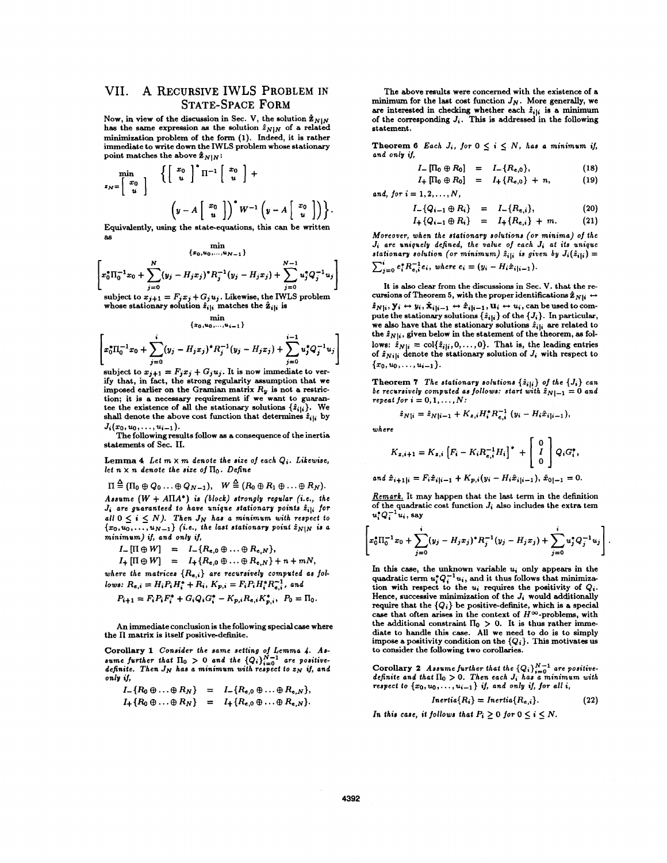# VII. A RECURSIVE IWLS PROBLEM **IN STATE-SPACE** FORM

Now, in view of the discussion in Sec. V, the solution  $\hat{\mathbf{z}}_{N|N}$ has the same expression as the solution  $\hat{z}_{N|N}$  of a related minimization problem of the form **(1).** Indeed, it is rather immediate to write down the IWLS problem whose stationary point matches the above  $\hat{\mathbf{z}}_{N|N}$ :

$$
\min_{z_N = \begin{bmatrix} x_0 \\ u \end{bmatrix} \begin{Bmatrix} \begin{bmatrix} x_0 \\ u \end{bmatrix}^* \Pi^{-1} \begin{bmatrix} x_0 \\ u \end{bmatrix} + \\ \begin{bmatrix} y - A \begin{bmatrix} x_0 \\ u \end{bmatrix} \end{Bmatrix}^* W^{-1} \begin{bmatrix} y - A \begin{bmatrix} x_0 \\ u \end{bmatrix} \end{bmatrix} \end{Bmatrix}.
$$

Equivalently, using the state-equations, this can be written **as** 

$$
\begin{bmatrix}\n\{x_0, u_0, \dots, u_{N-1}\} \\
x_0^* \Pi_0^{-1} x_0 + \sum_{j=0}^N (y_j - H_j x_j)^* R_j^{-1} (y_j - H_j x_j) + \sum_{j=0}^{N-1} u_j^* Q_j^{-1} u_j \\
\text{subject to } x_{j+1} = F_j x_j + G_j u_j. \text{ Likewise, the IWLS problem}\n\end{bmatrix}
$$

whose stationary solution  $\hat{z}_{i|i}$  matches the  $\hat{z}_{i|i}$  is min

$$
\left\{x_0, u_0, \ldots, u_{i-1}\right\}
$$
  

$$
\left[x_0^* \Pi_0^{-1} x_0 + \sum_{j=0}^i (y_j - H_j x_j)^* R_j^{-1} (y_j - H_j x_j) + \sum_{j=0}^{i-1} u_j^* Q_j^{-1} u_j\right]
$$

subject to  $x_{j+1} = F_j x_j + G_j u_j$ . It is now immediate to verify that, in fact, the strong regularity assumption that we imposed earlier on the Gramian matrix  $R_y$  is not a restriction; it is a necessary requirement if we want to guarantee the existence of all the stationary solutions  $\{\hat{z}_{i|i}\}.$  We shall denote the above cost function that determines  $\hat{z}_{i|i}$  by  $J_i(x_0, u_0, \ldots, u_{i-1}).$ 

*x*<sub>0</sub>, *u*<sub>0</sub>, . . . , *u*<sub>i</sub>-1}.<br>The following results follow as a consequence of the inertia *where*  $\begin{bmatrix} 0 & 1 \end{bmatrix}$ statements of Sec. 11.

Lemma  $4$  *Let*  $m \times m$  *denote the size of each*  $Q_i$ *. Likewise, let*  $n \times n$  denote the size of  $\Pi_0$ . Define

$$
\Pi \stackrel{\triangle}{=} (\Pi_0 \oplus Q_0 \dots \oplus Q_{N-1}), \quad W \stackrel{\triangle}{=} (R_0 \oplus R_1 \oplus \dots \oplus R_N).
$$
\nAssume  $(W + A\Pi A^*)$  is (block) strongly regular (i.e., the  $J_i$  are guaranteed to have unique stationary points  $\hat{z}_{i|i}$  for all  $0 \leq i \leq N$ ). Then  $J_N$  has a minimum with respect to  $u_i^* Q_i^{-1} u_i$ , say  $\{x_0, u_0, \dots, u_{N-1}\}$  (i.e., the last stationary point  $\hat{z}_{N|N}$  is a minimum) if, and only if,

 $I_{-} [\Pi \oplus W] = I_{-} \{R_{e,0} \oplus ... \oplus R_{e,N}\},$ 

$$
I_{+}[\Pi \oplus W] = I_{+}\{R_{e,0} \oplus \ldots \oplus R_{e,N}\} + n + mN,
$$

where the matrices  $\{R_{e,i}\}$  are recursively computed as fol-

*lows:* 
$$
R_{e,i} = H_i P_i H_i^* + R_i
$$
,  $K_{p,i} = F_i P_i H_i^* R_{e,i}^{-1}$ , and  
 $P_{i+1} = F_i P_i F_i^* + G_i Q_i G_i^* - K_{p,i} R_{e,i} K_{p,i}^*$ ,  $P_0 = \Pi_0$ .

An immediate conclusion is the following special case where the **II** matrix is itself positive-definite.

**Corollary 1** Consider the same setting of Lemma 4. Assume further that  $\Pi_0 > 0$  and the  $\{Q_i\}_{i=0}^{N-1}$  are positive*definiie. Then JN han a minimum wiih respect to ZN if, and only if,* 

$$
I_{-}\lbrace R_{0} \oplus \ldots \oplus R_{N} \rbrace = I_{-}\lbrace R_{e,0} \oplus \ldots \oplus R_{e,N} \rbrace,
$$
  

$$
I_{+}\lbrace R_{0} \oplus \ldots \oplus R_{N} \rbrace = I_{+}\lbrace R_{e,0} \oplus \ldots \oplus R_{e,N} \rbrace.
$$

The above results were concerned with the existence of a minimum for the last cost function  $J_N$ . More generally, we are interested in checking whether each  $\hat{z}_{i|i}$  is a minimum of the corresponding *J,.* This is addressed in the following statement.

Theorem 6 *Each J<sub>i</sub>*, *for*  $0 \leq i \leq N$ , *has a minimum if, and only if,* 

$$
I_{-} [\Pi_{0} \oplus R_{0}] = I_{-} \{R_{e,0}\},
$$
\n
$$
I_{+} [\Pi_{0} \oplus R_{0}] = I_{+} \{R_{e,0}\} + n,
$$
\n
$$
(19)
$$

*and, for*  $i = 1, 2, ..., N$ .

$$
\left(y - A \begin{bmatrix} x_0 \\ u \end{bmatrix}\right)^* W^{-1} \left(y - A \begin{bmatrix} x_0 \\ u \end{bmatrix}\right)\right\}.
$$
  $I_{-}\left(Q_{i-1} \oplus R_i\right) = I_{-}\left\{R_{e,i}\right\},$  (20)

$$
I_{+}\{Q_{i-1}\oplus R_{i}\} = I_{+}\{R_{e,i}\} + m. \qquad (21)
$$

*Moreover, when the siotionary solutions (or minima) of the*  min *J<sub>i</sub> are uniquely defined, the value of each <i>J<sub>i</sub>* at its unique *stationary solution (or minimum)*  $\hat{z}_{i|i}$  *is given by*  $J_i(\hat{z}_{i|i}) =$  $\sum_{i=0}^{i} e_i^* R_{e,i}^{-1} e_i$ , where  $e_i = (y_i - H_i \hat{x}_{i|i-1}).$ 

> It is **also** clear **from** the discussions in Sec. V. that the recursions of Theorem 5, with the proper identifications  $\hat{\mathbf{z}}_{N|i} \leftrightarrow$  $\hat{z}_{N|i}, \mathbf{y}_i \leftrightarrow y_i, \hat{\mathbf{x}}_{i|i-1} \leftrightarrow \hat{x}_{i|i-1}, \mathbf{u}_i \leftrightarrow u_i$ , can be used to compute the stationary solutions  $\{\hat{z}_{i|i}\}$  of the  $\{J_i\}$ . In particular, we also have that the stationary solutions  $\hat{z}_{i|i}$  are related to the  $\hat{z}_{N|i}$ , given below in the statement of the theorem, as follows:  $\hat{z}_{N|i} = \text{col}\{\hat{z}_{i|i}, 0, \ldots, 0\}$ . That is, the leading entries of  $\hat{z}_{N1i}$  denote the stationary solution of  $J_i$  with respect to  ${x_0, u_0, \ldots, u_{i-1}}.$

> **Theorem 7** The stationary solutions  $\{\hat{z}_{i|i}\}$  of the  $\{J_i\}$  can *be recursively computed as follows: start with*  $\hat{z}_{N|-1} = 0$  *and*  $repeated for i = 0, 1, ..., N$ :

$$
\hat{z}_{N|i} = \hat{z}_{N|i-1} + K_{z,i} H_i^* R_{e,i}^{-1} (y_i - H_i \hat{x}_{i|i-1}),
$$

$$
K_{z,i+1} = K_{z,i} \left[ F_i - K_i R_{e,i}^{-1} H_i \right]^+ + \begin{bmatrix} 0 \\ I \\ 0 \end{bmatrix} Q_i G_i^*,
$$

and 
$$
\hat{x}_{i+1|i} = F_i \hat{x}_{i|i-1} + K_{p,i}(y_i - H_i \hat{x}_{i|i-1}), \hat{x}_{0|-1} = 0.
$$

*Remark.* It may happen that the last term in the definition of the quadratic cost function *J,* **also** includes the extra tem  $u_i^*Q_i^{-1}u_i$ , say

$$
\left[ x_0^* \Pi_0^{-1} x_0 + \sum_{j=0}^i (y_j - H_j x_j)^* R_j^{-1} (y_j - H_j x_j) + \sum_{j=0}^i u_j^* Q_j^{-1} u_j \right]
$$

In this *case,* the unknown variable *U,* only appears in the quadratic term  $u_i^* Q_i^{-1} u_i$ , and it thus follows that minimization with respect to the *U,* requires the positivity **of** *Q,.*  Hence, successive minimization of the *Ji* would additionally require that the  ${Q_i}$  be positive-definite, which is a special case that often arises in the context of  $H^{\infty}$ -problems, with the additional constraint  $\Pi_0 > 0$ . It is thus rather immediate to handle this case. All we need to do is to simply impose a positivity condition on the *{Qi}.* **This** motivates **us to** consider the following two corollaries.

**Corollary 2** Assume further that the  ${Q_i}_{i=0}^{N-1}$  are positive-<br>definite and that  $\Pi_0 > 0$ . Then each  $J_i$  has a minimum with *respect to*  $\{x_0, u_0, \ldots, u_{i-1}\}$  if, and only if, for all i,

$$
Inertia\{R_i\} = Inertia\{R_{e,i}\}.
$$
 (22)

In this case, it follows that  $P_i > 0$  for  $0 \le i \le N$ .